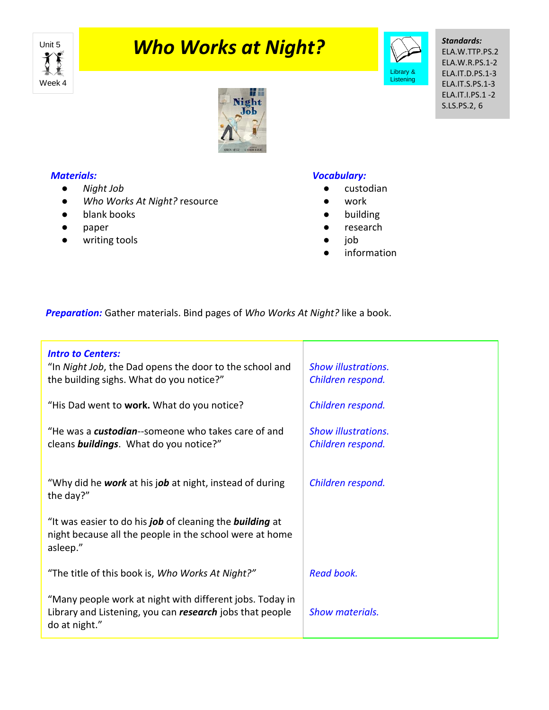

# **Unit 5 Who Works at Night?**



*Standards:* ELA.W.TTP.PS.2 ELA.W.R.PS.1-2 ELA.IT.D.PS.1-3 ELA.IT.S.PS.1-3 ELA.IT.I.PS.1 -2 S.LS.PS.2, 6



### *Materials:*

- *Night Job*
- *Who Works At Night?* resource
- blank books
- paper
- writing tools

#### *Vocabulary:*

- custodian
- work
- building
- research
- job
- information

*Preparation:* Gather materials. Bind pages of *Who Works At Night?* like a book.

| <b>Intro to Centers:</b><br>"In Night Job, the Dad opens the door to the school and<br>the building sighs. What do you notice?"       | <b>Show illustrations.</b><br>Children respond. |
|---------------------------------------------------------------------------------------------------------------------------------------|-------------------------------------------------|
| "His Dad went to work. What do you notice?                                                                                            | Children respond.                               |
| "He was a <b>custodian</b> --someone who takes care of and<br>cleans <b>buildings</b> . What do you notice?"                          | <b>Show illustrations.</b><br>Children respond. |
| "Why did he work at his job at night, instead of during<br>the day?"                                                                  | Children respond.                               |
| "It was easier to do his job of cleaning the building at<br>night because all the people in the school were at home<br>asleep."       |                                                 |
| "The title of this book is, Who Works At Night?"                                                                                      | Read book.                                      |
| "Many people work at night with different jobs. Today in<br>Library and Listening, you can research jobs that people<br>do at night." | Show materials.                                 |